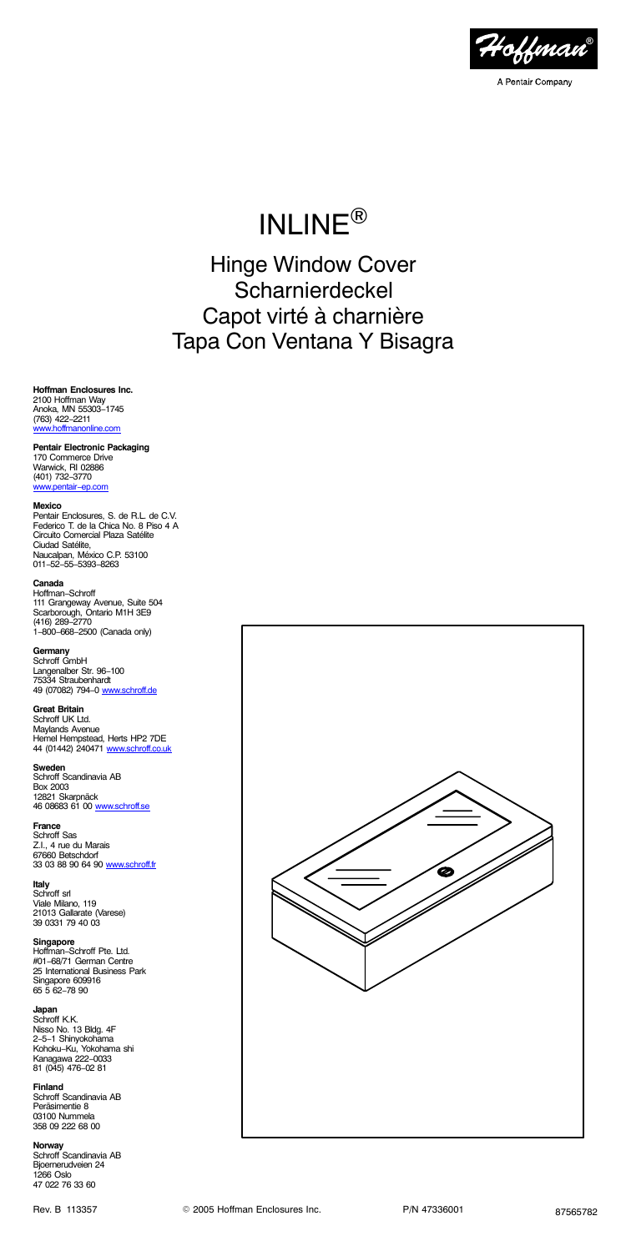

# INLINE®

Hinge Window Cover Scharnierdeckel Capot virté à charnière Tapa Con Ventana Y Bisagra

**Hoffman Enclosures Inc.** 2100 Hoffman Way Anoka, MN 55303−1745 (763) 422−2211 [www.hoffmanonline.com](http://www.hoffmanonline.com)

# **Pentair Electronic Packaging**

170 Commerce Drive Warwick, RI 02886 (401) 732−3770 .<br>⊪entair−en.c

#### **Mexico**

Pentair Enclosures, S. de R.L. de C.V. Federico T. de la Chica No. 8 Piso 4 A Circuito Comercial Plaza Satélite Ciudad Satélite, Naucalpan, México C.P. 53100 011−52−55−5393−8263

# **Canada**

Hoffman−Schroff 111 Grangeway Avenue, Suite 504 Scarborough, Ontario M1H 3E9 (416) 289−2770 1−800−668−2500 (Canada only)

**Germany**<br>Schroff GmbH<br>Langenalber Str. 96–100<br>75334 Straubenhardt<br>49 (07082) 794−0 <u>[www.schroff.de](http://www.schroff.de)</u>

# **Great Britain** Schroff UK Ltd.

Maylands Avenue Hemel Hempstead, Herts HP2 7DE 44 (01442) 240471 www.s

**Sweden** Schroff Scandinavia AB Box 2003 12821 Skarpnäck

46 08683 61 00 [www.schroff.se](http://www.schroff.se)

**France** Schroff Sas Z.I., 4 rue du Marais<br>67660 Betschdorf<br>33 03 88 90 64 90 <u>[www.schroff.fr](http://www.schroff.fr)</u>

**Italy** Schroff srl Viale Milano, 119 21013 Gallarate (Varese) 39 0331 79 40 03

**Singapore** Hoffman−Schroff Pte. Ltd. #01−68/71 German Centre 25 International Business Park Singapore 609916 65 5 62−78 90

# **Japan** Schroff K.K.

Nisso No. 13 Bldg. 4F 2−5−1 Shinyokohama Kohoku−Ku, Yokohama shi Kanagawa 222−0033 81 (045) 476−02 81

**Finland** Schroff Scandinavia AB Peräsimentie 8 03100 Nummela 358 09 222 68 00

**Norway** Schroff Scandinavia AB Bjoernerudveien 24 1266 Oslo 47 022 76 33 60

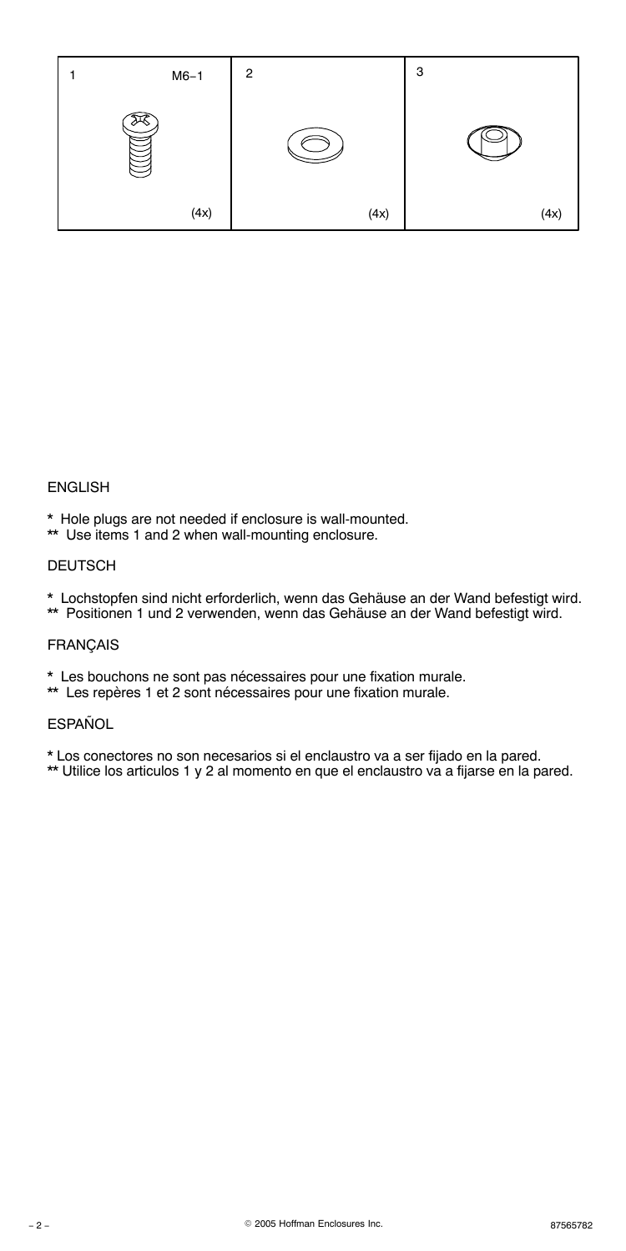

# ENGLISH

- \* Hole plugs are not needed if enclosure is wall-mounted.
- \*\* Use items 1 and 2 when wall-mounting enclosure.

### DEUTSCH

- \* Lochstopfen sind nicht erforderlich, wenn das Gehäuse an der Wand befestigt wird.
- \*\* Positionen 1 und 2 verwenden, wenn das Gehäuse an der Wand befestigt wird.

# FRANÇAIS

- \* Les bouchons ne sont pas nécessaires pour une fixation murale.
- \*\* Les repères 1 et 2 sont nécessaires pour une fixation murale.

# **ESPAÑOL**

\* Los conectores no son necesarios si el enclaustro va a ser fijado en la pared.

\*\* Utilice los articulos 1 y 2 al momento en que el enclaustro va a fijarse en la pared.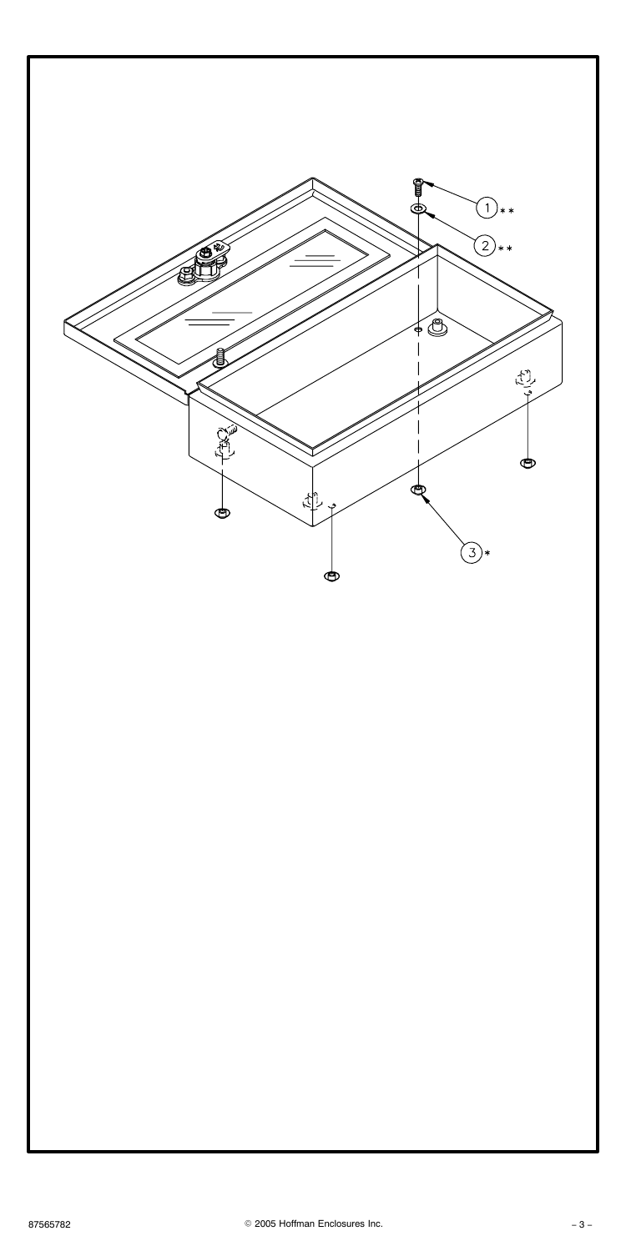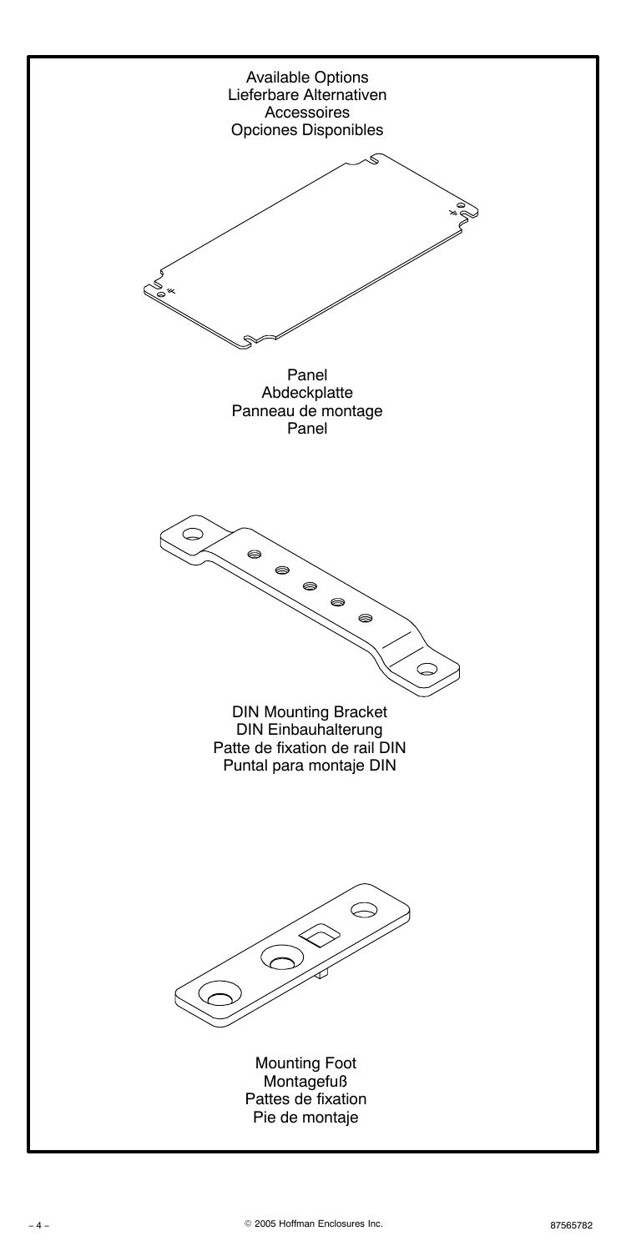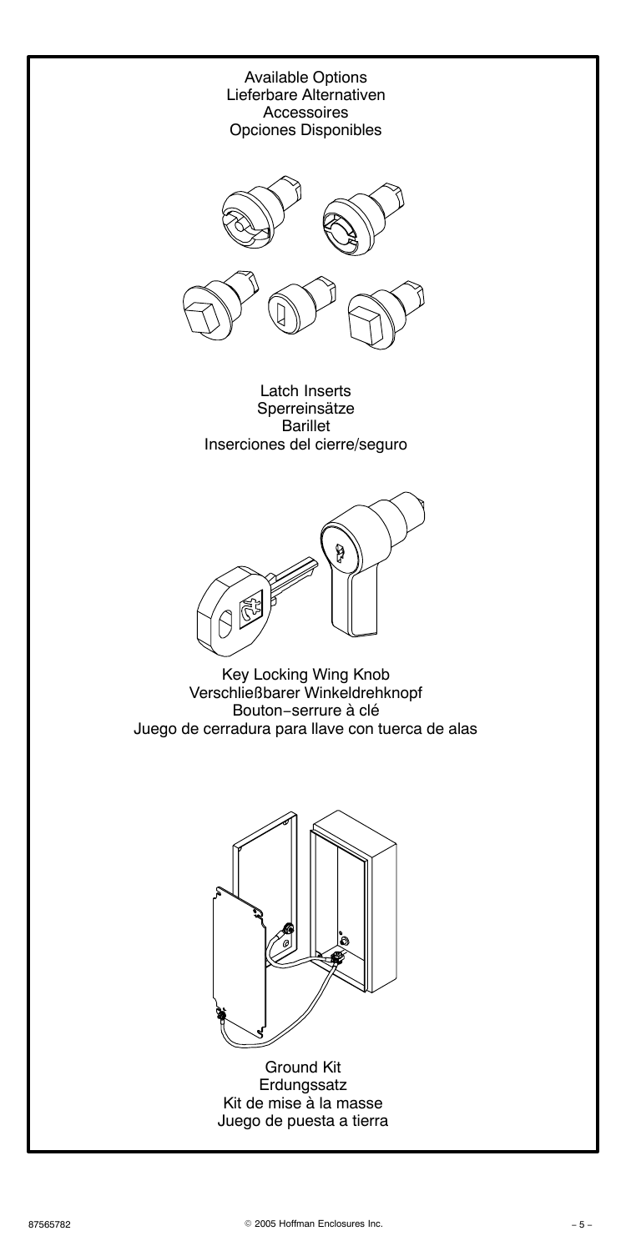